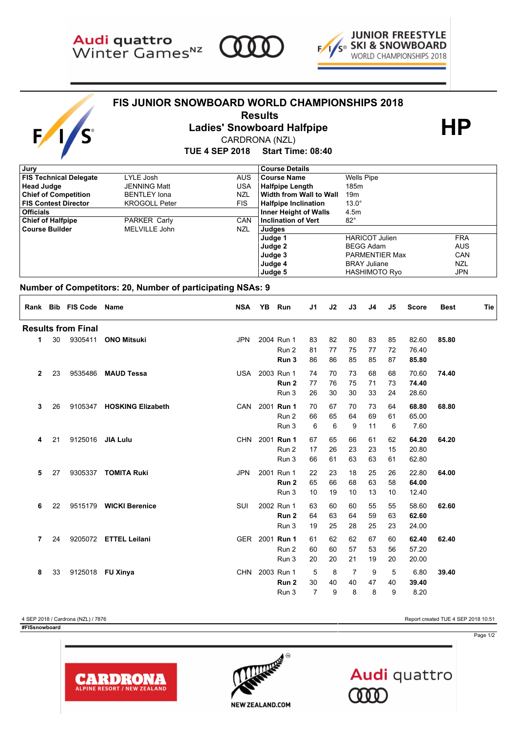

 $\mathbf{F}$ 

S





## **FIS JUNIOR SNOWBOARD WORLD CHAMPIONSHIPS 2018**



 **Results HP Ladies' Snowboard Halfpipe**

CARDRONA (NZL)

**TUE 4 SEP 2018 Start Time: 08:40**

| , Jury                        |                      |            | <b>Course Details</b>        |                       |            |
|-------------------------------|----------------------|------------|------------------------------|-----------------------|------------|
| <b>FIS Technical Delegate</b> | LYLE Josh            | AUS.       | <b>Course Name</b>           | Wells Pipe            |            |
| <b>Head Judge</b>             | <b>JENNING Matt</b>  | <b>USA</b> | <b>Halfpipe Length</b>       | 185m                  |            |
| <b>Chief of Competition</b>   | <b>BENTLEY lona</b>  | <b>NZL</b> | Width from Wall to Wall      | 19 <sub>m</sub>       |            |
| <b>FIS Contest Director</b>   | <b>KROGOLL Peter</b> | FIS.       | <b>Halfpipe Inclination</b>  | $13.0^\circ$          |            |
| <b>Officials</b>              |                      |            | <b>Inner Height of Walls</b> | 4.5m                  |            |
| <b>Chief of Halfpipe</b>      | PARKER Carly         | CAN        | <b>Inclination of Vert</b>   | $82^{\circ}$          |            |
| <b>Course Builder</b>         | MELVILLE John        | NZL        | Judges                       |                       |            |
|                               |                      |            | Judge 1                      | <b>HARICOT Julien</b> | <b>FRA</b> |
|                               |                      |            | Judge 2                      | <b>BEGG Adam</b>      | <b>AUS</b> |
|                               |                      |            | Judge 3                      | <b>PARMENTIER Max</b> | CAN        |
|                               |                      |            | Judge 4                      | <b>BRAY Juliane</b>   | <b>NZL</b> |
|                               |                      |            | Judge 5                      | <b>HASHIMOTO Ryo</b>  | <b>JPN</b> |
|                               |                      |            |                              |                       |            |

## **Number of Competitors: 20, Number of participating NSAs: 9**

|         |         | Rank Bib FIS Code Name    |                           | <b>NSA</b> | YB                             | Run                                     | J1                        | J2             | J3                        | J4             | J5             | <b>Score</b>            | <b>Best</b> | Tie |
|---------|---------|---------------------------|---------------------------|------------|--------------------------------|-----------------------------------------|---------------------------|----------------|---------------------------|----------------|----------------|-------------------------|-------------|-----|
|         |         | <b>Results from Final</b> |                           |            |                                |                                         |                           |                |                           |                |                |                         |             |     |
| 1.      | 30      | 9305411                   | <b>ONO Mitsuki</b>        | <b>JPN</b> |                                | 2004 Run 1<br>Run 2                     | 83<br>81                  | 82<br>77       | 80<br>75                  | 83<br>77       | 85<br>72       | 82.60<br>76.40          | 85.80       |     |
|         |         |                           |                           |            | Run 3                          | 86                                      | 86                        | 85             | 85                        | 87             | 85.80          |                         |             |     |
| 23<br>2 | 9535486 | <b>MAUD Tessa</b>         | USA                       |            | 2003 Run 1<br>Run <sub>2</sub> | 74<br>77                                | 70<br>76                  | 73<br>75       | 68<br>71                  | 68<br>73       | 70.60<br>74.40 | 74.40                   |             |     |
|         |         |                           |                           |            |                                | Run 3                                   | 26                        | 30             | 30                        | 33             | 24             | 28.60                   |             |     |
| 3       | 26      |                           | 9105347 HOSKING Elizabeth | CAN        |                                | 2001 Run 1<br>Run 2<br>Run 3            | 70<br>66<br>6             | 67<br>65<br>6  | 70<br>64<br>9             | 73<br>69<br>11 | 64<br>61<br>6  | 68.80<br>65.00<br>7.60  | 68.80       |     |
| 4       | 21      | 9125016 JIA Lulu          |                           | <b>CHN</b> |                                | 2001 Run 1<br>Run 2<br>Run 3            | 67<br>17<br>66            | 65<br>26<br>61 | 66<br>23<br>63            | 61<br>23<br>63 | 62<br>15<br>61 | 64.20<br>20.80<br>62.80 | 64.20       |     |
| 5       | 27      | 9305337                   | <b>TOMITA Ruki</b>        | <b>JPN</b> |                                | 2001 Run 1<br>Run <sub>2</sub><br>Run 3 | 22<br>65<br>10            | 23<br>66<br>19 | 18<br>68<br>10            | 25<br>63<br>13 | 26<br>58<br>10 | 22.80<br>64.00<br>12.40 | 64.00       |     |
| 6       | 22      |                           | 9515179 WICKI Berenice    | SUI        |                                | 2002 Run 1<br>Run <sub>2</sub><br>Run 3 | 63<br>64<br>19            | 60<br>63<br>25 | 60<br>64<br>28            | 55<br>59<br>25 | 55<br>63<br>23 | 58.60<br>62.60<br>24.00 | 62.60       |     |
| 7       | 24      |                           | 9205072 ETTEL Leilani     |            |                                | GER 2001 Run 1<br>Run 2<br>Run 3        | 61<br>60<br>20            | 62<br>60<br>20 | 62<br>57<br>21            | 67<br>53<br>19 | 60<br>56<br>20 | 62.40<br>57.20<br>20.00 | 62.40       |     |
| 8       | 33      |                           | 9125018 FU Xinya          | <b>CHN</b> |                                | 2003 Run 1<br>Run <sub>2</sub><br>Run 3 | 5<br>30<br>$\overline{7}$ | 8<br>40<br>9   | $\overline{7}$<br>40<br>8 | 9<br>47<br>8   | 5<br>40<br>9   | 6.80<br>39.40<br>8.20   | 39.40       |     |

4 SEP 2018 / Cardrona (NZL) / 7876 Report created TUE 4 SEP 2018 10:51

**CARDRONA ALPINE RESORT / NEW ZEALAND** 

**#FISsnowboard FIS Results provided by GSS**

Page 1/2



Audi quattro 000